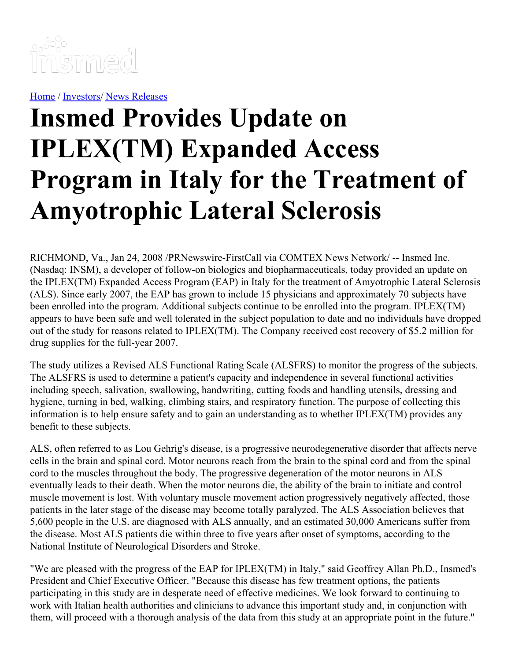

[Home](https://insmed.com/) / [Investors](https://investor.insmed.com/index)/ News [Releases](https://investor.insmed.com/releases)

## **Insmed Provides Update on IPLEX(TM) Expanded Access Program in Italy for the Treatment of Amyotrophic Lateral Sclerosis**

RICHMOND, Va., Jan 24, 2008 /PRNewswire-FirstCall via COMTEX News Network/ -- Insmed Inc. (Nasdaq: INSM), a developer of follow-on biologics and biopharmaceuticals, today provided an update on the IPLEX(TM) Expanded Access Program (EAP) in Italy for the treatment of Amyotrophic Lateral Sclerosis (ALS). Since early 2007, the EAP has grown to include 15 physicians and approximately 70 subjects have been enrolled into the program. Additional subjects continue to be enrolled into the program. IPLEX(TM) appears to have been safe and well tolerated in the subject population to date and no individuals have dropped out of the study for reasons related to IPLEX(TM). The Company received cost recovery of \$5.2 million for drug supplies for the full-year 2007.

The study utilizes a Revised ALS Functional Rating Scale (ALSFRS) to monitor the progress of the subjects. The ALSFRS is used to determine a patient's capacity and independence in several functional activities including speech, salivation, swallowing, handwriting, cutting foods and handling utensils, dressing and hygiene, turning in bed, walking, climbing stairs, and respiratory function. The purpose of collecting this information is to help ensure safety and to gain an understanding as to whether IPLEX(TM) provides any benefit to these subjects.

ALS, often referred to as Lou Gehrig's disease, is a progressive neurodegenerative disorder that affects nerve cells in the brain and spinal cord. Motor neurons reach from the brain to the spinal cord and from the spinal cord to the muscles throughout the body. The progressive degeneration of the motor neurons in ALS eventually leads to their death. When the motor neurons die, the ability of the brain to initiate and control muscle movement is lost. With voluntary muscle movement action progressively negatively affected, those patients in the later stage of the disease may become totally paralyzed. The ALS Association believes that 5,600 people in the U.S. are diagnosed with ALS annually, and an estimated 30,000 Americans suffer from the disease. Most ALS patients die within three to five years after onset of symptoms, according to the National Institute of Neurological Disorders and Stroke.

"We are pleased with the progress of the EAP for IPLEX(TM) in Italy," said Geoffrey Allan Ph.D., Insmed's President and Chief Executive Officer. "Because this disease has few treatment options, the patients participating in this study are in desperate need of effective medicines. We look forward to continuing to work with Italian health authorities and clinicians to advance this important study and, in conjunction with them, will proceed with a thorough analysis of the data from this study at an appropriate point in the future."